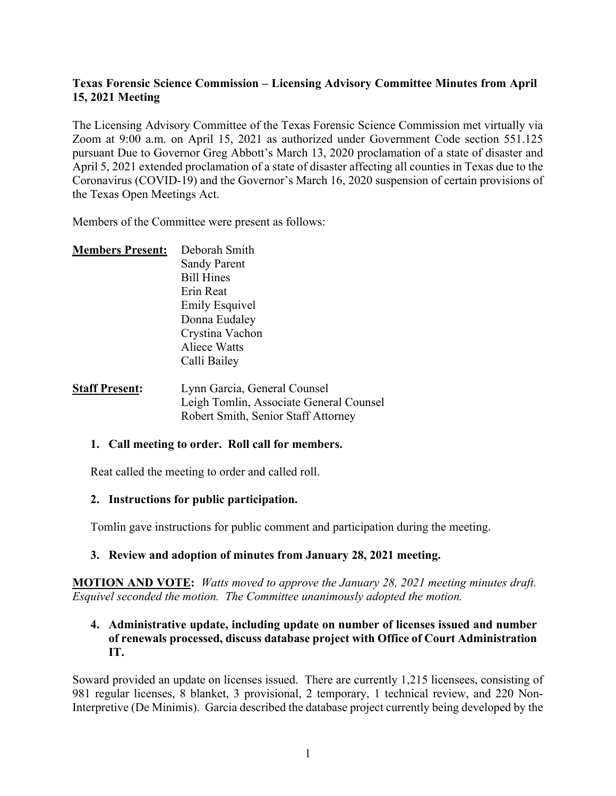# **Texas Forensic Science Commission – Licensing Advisory Committee Minutes from April 15, 2021 Meeting**

The Licensing Advisory Committee of the Texas Forensic Science Commission met virtually via Zoom at 9:00 a.m. on April 15, 2021 as authorized under Government Code section 551.125 pursuant Due to Governor Greg Abbott's March 13, 2020 proclamation of a state of disaster and April 5, 2021 extended proclamation of a state of disaster affecting all counties in Texas due to the Coronavirus (COVID-19) and the Governor's March 16, 2020 suspension of certain provisions of the Texas Open Meetings Act.

Members of the Committee were present as follows:

| <b>Members Present:</b> | Deborah Smith                                                            |
|-------------------------|--------------------------------------------------------------------------|
|                         | <b>Sandy Parent</b>                                                      |
|                         | <b>Bill Hines</b>                                                        |
|                         | Erin Reat                                                                |
|                         | <b>Emily Esquivel</b>                                                    |
|                         | Donna Eudaley                                                            |
|                         | Crystina Vachon                                                          |
|                         | <b>Aliece Watts</b>                                                      |
|                         | Calli Bailey                                                             |
|                         | $\mathbf{I}$ , $\mathbf{C}$ , $\mathbf{C}$ , $\mathbf{C}$ , $\mathbf{C}$ |

**Staff Present:** Lynn Garcia, General Counsel Leigh Tomlin, Associate General Counsel Robert Smith, Senior Staff Attorney

#### **1. Call meeting to order. Roll call for members.**

Reat called the meeting to order and called roll.

#### **2. Instructions for public participation.**

Tomlin gave instructions for public comment and participation during the meeting.

# **3. Review and adoption of minutes from January 28, 2021 meeting.**

**MOTION AND VOTE:** *Watts moved to approve the January 28, 2021 meeting minutes draft. Esquivel seconded the motion. The Committee unanimously adopted the motion.*

#### **4. Administrative update, including update on number of licenses issued and number of renewals processed, discuss database project with Office of Court Administration IT.**

Soward provided an update on licenses issued. There are currently 1,215 licensees, consisting of 981 regular licenses, 8 blanket, 3 provisional, 2 temporary, 1 technical review, and 220 Non-Interpretive (De Minimis). Garcia described the database project currently being developed by the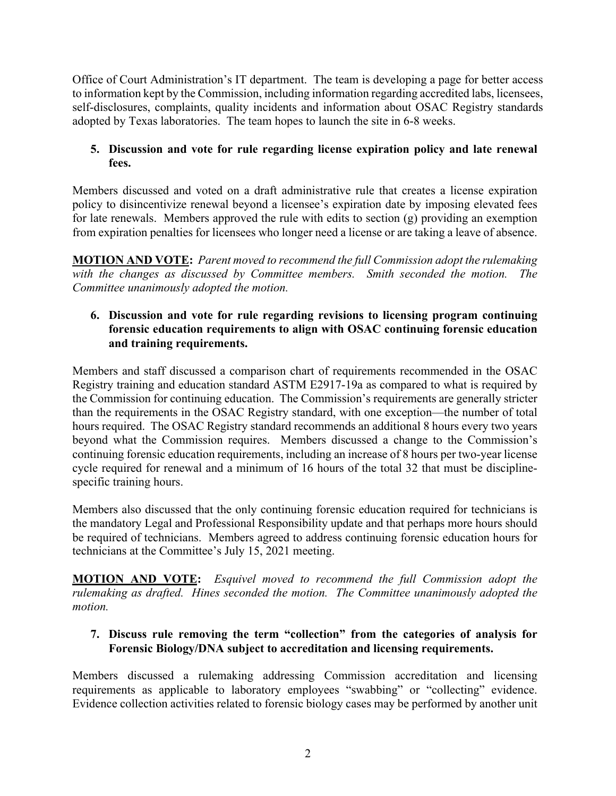Office of Court Administration's IT department. The team is developing a page for better access to information kept by the Commission, including information regarding accredited labs, licensees, self-disclosures, complaints, quality incidents and information about OSAC Registry standards adopted by Texas laboratories. The team hopes to launch the site in 6-8 weeks.

# **5. Discussion and vote for rule regarding license expiration policy and late renewal fees.**

Members discussed and voted on a draft administrative rule that creates a license expiration policy to disincentivize renewal beyond a licensee's expiration date by imposing elevated fees for late renewals. Members approved the rule with edits to section (g) providing an exemption from expiration penalties for licensees who longer need a license or are taking a leave of absence.

**MOTION AND VOTE:** *Parent moved to recommend the full Commission adopt the rulemaking with the changes as discussed by Committee members. Smith seconded the motion. The Committee unanimously adopted the motion.*

# **6. Discussion and vote for rule regarding revisions to licensing program continuing forensic education requirements to align with OSAC continuing forensic education and training requirements.**

Members and staff discussed a comparison chart of requirements recommended in the OSAC Registry training and education standard ASTM E2917-19a as compared to what is required by the Commission for continuing education. The Commission's requirements are generally stricter than the requirements in the OSAC Registry standard, with one exception—the number of total hours required. The OSAC Registry standard recommends an additional 8 hours every two years beyond what the Commission requires. Members discussed a change to the Commission's continuing forensic education requirements, including an increase of 8 hours per two-year license cycle required for renewal and a minimum of 16 hours of the total 32 that must be disciplinespecific training hours.

Members also discussed that the only continuing forensic education required for technicians is the mandatory Legal and Professional Responsibility update and that perhaps more hours should be required of technicians. Members agreed to address continuing forensic education hours for technicians at the Committee's July 15, 2021 meeting.

**MOTION AND VOTE:** *Esquivel moved to recommend the full Commission adopt the rulemaking as drafted. Hines seconded the motion. The Committee unanimously adopted the motion.*

# **7. Discuss rule removing the term "collection" from the categories of analysis for Forensic Biology/DNA subject to accreditation and licensing requirements.**

Members discussed a rulemaking addressing Commission accreditation and licensing requirements as applicable to laboratory employees "swabbing" or "collecting" evidence. Evidence collection activities related to forensic biology cases may be performed by another unit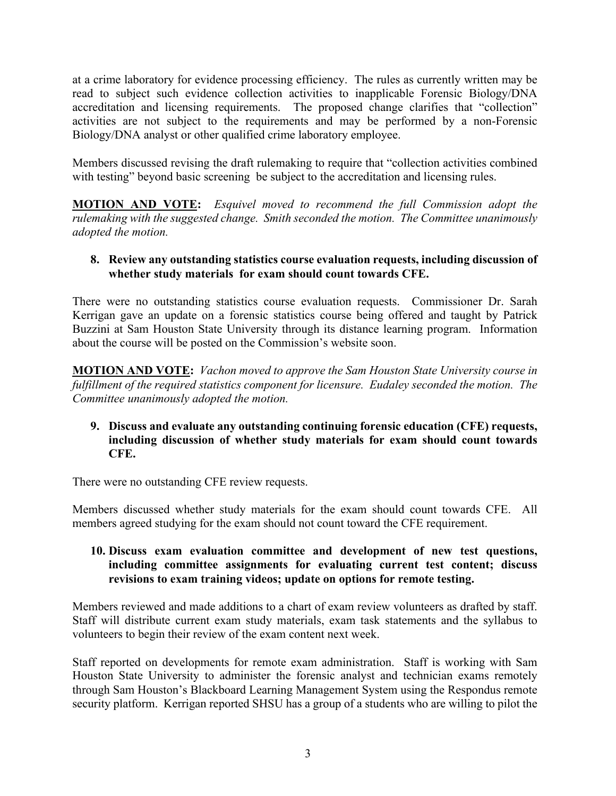at a crime laboratory for evidence processing efficiency. The rules as currently written may be read to subject such evidence collection activities to inapplicable Forensic Biology/DNA accreditation and licensing requirements. The proposed change clarifies that "collection" activities are not subject to the requirements and may be performed by a non-Forensic Biology/DNA analyst or other qualified crime laboratory employee.

Members discussed revising the draft rulemaking to require that "collection activities combined with testing" beyond basic screening be subject to the accreditation and licensing rules.

**MOTION AND VOTE:** *Esquivel moved to recommend the full Commission adopt the rulemaking with the suggested change. Smith seconded the motion. The Committee unanimously adopted the motion.*

## **8. Review any outstanding statistics course evaluation requests, including discussion of whether study materials for exam should count towards CFE.**

There were no outstanding statistics course evaluation requests. Commissioner Dr. Sarah Kerrigan gave an update on a forensic statistics course being offered and taught by Patrick Buzzini at Sam Houston State University through its distance learning program. Information about the course will be posted on the Commission's website soon.

**MOTION AND VOTE:** *Vachon moved to approve the Sam Houston State University course in fulfillment of the required statistics component for licensure. Eudaley seconded the motion. The Committee unanimously adopted the motion.*

## **9. Discuss and evaluate any outstanding continuing forensic education (CFE) requests, including discussion of whether study materials for exam should count towards CFE.**

There were no outstanding CFE review requests.

Members discussed whether study materials for the exam should count towards CFE. All members agreed studying for the exam should not count toward the CFE requirement.

## **10. Discuss exam evaluation committee and development of new test questions, including committee assignments for evaluating current test content; discuss revisions to exam training videos; update on options for remote testing.**

Members reviewed and made additions to a chart of exam review volunteers as drafted by staff. Staff will distribute current exam study materials, exam task statements and the syllabus to volunteers to begin their review of the exam content next week.

Staff reported on developments for remote exam administration. Staff is working with Sam Houston State University to administer the forensic analyst and technician exams remotely through Sam Houston's Blackboard Learning Management System using the Respondus remote security platform. Kerrigan reported SHSU has a group of a students who are willing to pilot the